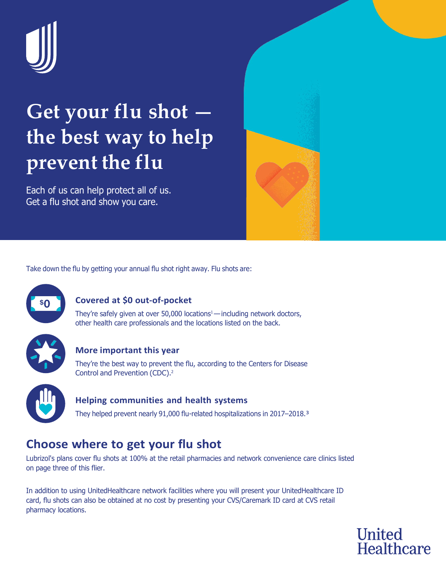

# **Get your flu shot the best way to help prevent the flu**

Each of us can help protect all of us. Get a flu shot and show you care.



Take down the flu by getting your annual flu shot right away. Flu shots are:



## **Covered at \$0 out-of-pocket**

They're safely given at over 50,000 locations<sup>1</sup> — including network doctors, other health care professionals and the locations listed on the back.



#### **More important this year**

They're the best way to prevent the flu, according to the Centers for Disease Control and Prevention (CDC).2



#### **Helping communities and health systems**

They helped prevent nearly 91,000 flu-related hospitalizations in 2017–2018.<sup>3</sup>

## **Choose where to get your flu shot**

Lubrizol's plans cover flu shots at 100% at the retail pharmacies and network convenience care clinics listed on page three of this flier.

In addition to using UnitedHealthcare network facilities where you will present your UnitedHealthcare ID card, flu shots can also be obtained at no cost by presenting your CVS/Caremark ID card at CVS retail pharmacy locations.

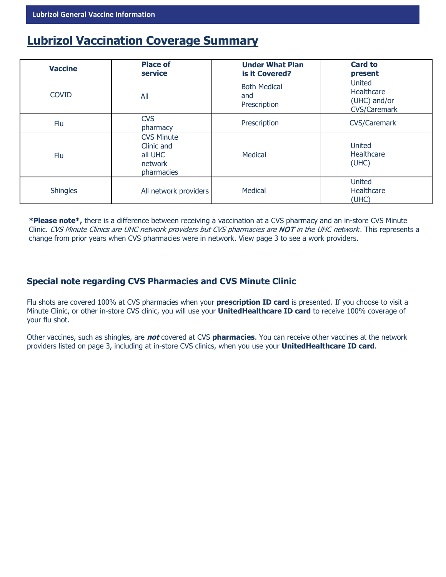## **Lubrizol Vaccination Coverage Summary**

| <b>Vaccine</b>  | <b>Place of</b><br>service                                          | <b>Under What Plan</b><br>is it Covered?   | <b>Card to</b><br>present                                                 |
|-----------------|---------------------------------------------------------------------|--------------------------------------------|---------------------------------------------------------------------------|
| <b>COVID</b>    | All                                                                 | <b>Both Medical</b><br>and<br>Prescription | <b>United</b><br><b>Healthcare</b><br>(UHC) and/or<br><b>CVS/Caremark</b> |
| Flu             | <b>CVS</b><br>pharmacy                                              | Prescription                               | <b>CVS/Caremark</b>                                                       |
| Flu             | <b>CVS Minute</b><br>Clinic and<br>all UHC<br>network<br>pharmacies | Medical                                    | <b>United</b><br>Healthcare<br>(UHC)                                      |
| <b>Shingles</b> | All network providers                                               | <b>Medical</b>                             | <b>United</b><br>Healthcare<br>(UHC)                                      |

**\*Please note\*,** there is a difference between receiving a vaccination at a CVS pharmacy and an in-store CVS Minute Clinic. CVS Minute Clinics are UHC network providers but CVS pharmacies are NOT in the UHC network. This represents a change from prior years when CVS pharmacies were in network. View page 3 to see a work providers.

### **Special note regarding CVS Pharmacies and CVS Minute Clinic**

Flu shots are covered 100% at CVS pharmacies when your **prescription ID card** is presented. If you choose to visit a Minute Clinic, or other in-store CVS clinic, you will use your **UnitedHealthcare ID card** to receive 100% coverage of your flu shot.

Other vaccines, such as shingles, are **not** covered at CVS **pharmacies**. You can receive other vaccines at the network providers listed on page 3, including at in-store CVS clinics, when you use your **UnitedHealthcare ID card**.